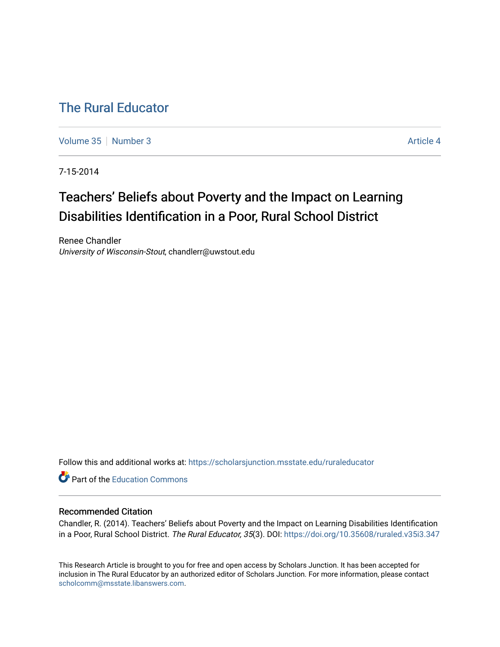# [The Rural Educator](https://scholarsjunction.msstate.edu/ruraleducator)

[Volume 35](https://scholarsjunction.msstate.edu/ruraleducator/vol35) [Number 3](https://scholarsjunction.msstate.edu/ruraleducator/vol35/iss3) Article 4

7-15-2014

# Teachers' Beliefs about Poverty and the Impact on Learning Disabilities Identification in a Poor, Rural School District

Renee Chandler University of Wisconsin-Stout, chandlerr@uwstout.edu

Follow this and additional works at: [https://scholarsjunction.msstate.edu/ruraleducator](https://scholarsjunction.msstate.edu/ruraleducator?utm_source=scholarsjunction.msstate.edu%2Fruraleducator%2Fvol35%2Fiss3%2F4&utm_medium=PDF&utm_campaign=PDFCoverPages)

Part of the [Education Commons](http://network.bepress.com/hgg/discipline/784?utm_source=scholarsjunction.msstate.edu%2Fruraleducator%2Fvol35%2Fiss3%2F4&utm_medium=PDF&utm_campaign=PDFCoverPages)

# Recommended Citation

Chandler, R. (2014). Teachers' Beliefs about Poverty and the Impact on Learning Disabilities Identification in a Poor, Rural School District. The Rural Educator, 35(3). DOI: https://doi.org/10.35608/ruraled.v35i3.347

This Research Article is brought to you for free and open access by Scholars Junction. It has been accepted for inclusion in The Rural Educator by an authorized editor of Scholars Junction. For more information, please contact [scholcomm@msstate.libanswers.com.](mailto:scholcomm@msstate.libanswers.com)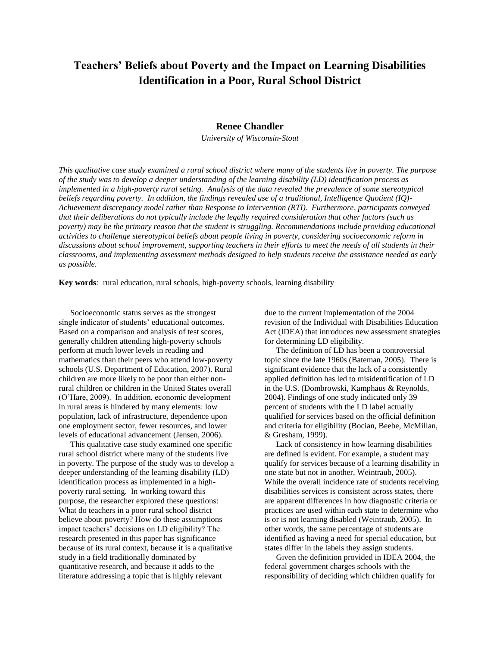# **Teachers' Beliefs about Poverty and the Impact on Learning Disabilities Identification in a Poor, Rural School District**

# **Renee Chandler**

*University of Wisconsin-Stout*

*This qualitative case study examined a rural school district where many of the students live in poverty. The purpose of the study was to develop a deeper understanding of the learning disability (LD) identification process as implemented in a high-poverty rural setting. Analysis of the data revealed the prevalence of some stereotypical beliefs regarding poverty. In addition, the findings revealed use of a traditional, Intelligence Quotient (IQ)- Achievement discrepancy model rather than Response to Intervention (RTI). Furthermore, participants conveyed that their deliberations do not typically include the legally required consideration that other factors (such as poverty) may be the primary reason that the student is struggling. Recommendations include providing educational activities to challenge stereotypical beliefs about people living in poverty, considering socioeconomic reform in discussions about school improvement, supporting teachers in their efforts to meet the needs of all students in their classrooms, and implementing assessment methods designed to help students receive the assistance needed as early as possible.*

**Key words***:* rural education, rural schools, high-poverty schools, learning disability

Socioeconomic status serves as the strongest single indicator of students' educational outcomes. Based on a comparison and analysis of test scores, generally children attending high-poverty schools perform at much lower levels in reading and mathematics than their peers who attend low-poverty schools (U.S. Department of Education, 2007). Rural children are more likely to be poor than either nonrural children or children in the United States overall (O'Hare, 2009). In addition, economic development in rural areas is hindered by many elements: low population, lack of infrastructure, dependence upon one employment sector, fewer resources, and lower levels of educational advancement (Jensen, 2006).

This qualitative case study examined one specific rural school district where many of the students live in poverty. The purpose of the study was to develop a deeper understanding of the learning disability (LD) identification process as implemented in a highpoverty rural setting. In working toward this purpose, the researcher explored these questions: What do teachers in a poor rural school district believe about poverty? How do these assumptions impact teachers' decisions on LD eligibility? The research presented in this paper has significance because of its rural context, because it is a qualitative study in a field traditionally dominated by quantitative research, and because it adds to the literature addressing a topic that is highly relevant

due to the current implementation of the 2004 revision of the Individual with Disabilities Education Act (IDEA) that introduces new assessment strategies for determining LD eligibility.

The definition of LD has been a controversial topic since the late 1960s (Bateman, 2005). There is significant evidence that the lack of a consistently applied definition has led to misidentification of LD in the U.S. (Dombrowski, Kamphaus & Reynolds, 2004). Findings of one study indicated only 39 percent of students with the LD label actually qualified for services based on the official definition and criteria for eligibility (Bocian, Beebe, McMillan, & Gresham, 1999).

Lack of consistency in how learning disabilities are defined is evident. For example, a student may qualify for services because of a learning disability in one state but not in another, Weintraub, 2005). While the overall incidence rate of students receiving disabilities services is consistent across states, there are apparent differences in how diagnostic criteria or practices are used within each state to determine who is or is not learning disabled (Weintraub, 2005). In other words, the same percentage of students are identified as having a need for special education, but states differ in the labels they assign students.

Given the definition provided in IDEA 2004, the federal government charges schools with the responsibility of deciding which children qualify for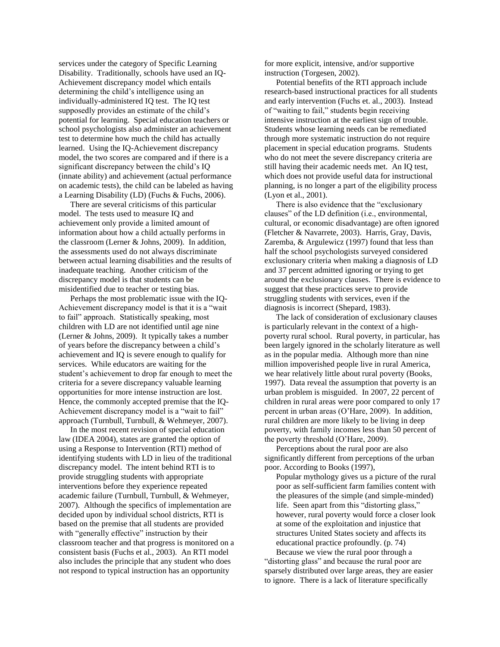services under the category of Specific Learning Disability. Traditionally, schools have used an IQ-Achievement discrepancy model which entails determining the child's intelligence using an individually-administered IQ test. The IQ test supposedly provides an estimate of the child's potential for learning. Special education teachers or school psychologists also administer an achievement test to determine how much the child has actually learned. Using the IQ-Achievement discrepancy model, the two scores are compared and if there is a significant discrepancy between the child's IQ (innate ability) and achievement (actual performance on academic tests), the child can be labeled as having a Learning Disability (LD) (Fuchs & Fuchs, 2006).

There are several criticisms of this particular model. The tests used to measure IQ and achievement only provide a limited amount of information about how a child actually performs in the classroom (Lerner & Johns, 2009). In addition, the assessments used do not always discriminate between actual learning disabilities and the results of inadequate teaching. Another criticism of the discrepancy model is that students can be misidentified due to teacher or testing bias.

Perhaps the most problematic issue with the IQ-Achievement discrepancy model is that it is a "wait to fail" approach. Statistically speaking, most children with LD are not identified until age nine (Lerner & Johns, 2009). It typically takes a number of years before the discrepancy between a child's achievement and IQ is severe enough to qualify for services. While educators are waiting for the student's achievement to drop far enough to meet the criteria for a severe discrepancy valuable learning opportunities for more intense instruction are lost. Hence, the commonly accepted premise that the IQ-Achievement discrepancy model is a "wait to fail" approach (Turnbull, Turnbull, & Wehmeyer, 2007).

In the most recent revision of special education law (IDEA 2004), states are granted the option of using a Response to Intervention (RTI) method of identifying students with LD in lieu of the traditional discrepancy model. The intent behind RTI is to provide struggling students with appropriate interventions before they experience repeated academic failure (Turnbull, Turnbull, & Wehmeyer, 2007). Although the specifics of implementation are decided upon by individual school districts, RTI is based on the premise that all students are provided with "generally effective" instruction by their classroom teacher and that progress is monitored on a consistent basis (Fuchs et al., 2003). An RTI model also includes the principle that any student who does not respond to typical instruction has an opportunity

for more explicit, intensive, and/or supportive instruction (Torgesen, 2002).

Potential benefits of the RTI approach include research-based instructional practices for all students and early intervention (Fuchs et. al., 2003). Instead of "waiting to fail," students begin receiving intensive instruction at the earliest sign of trouble. Students whose learning needs can be remediated through more systematic instruction do not require placement in special education programs. Students who do not meet the severe discrepancy criteria are still having their academic needs met. An IQ test, which does not provide useful data for instructional planning, is no longer a part of the eligibility process (Lyon et al., 2001).

There is also evidence that the "exclusionary clauses" of the LD definition (i.e., environmental, cultural, or economic disadvantage) are often ignored (Fletcher & Navarrete, 2003). Harris, Gray, Davis, Zaremba, & Argulewicz (1997) found that less than half the school psychologists surveyed considered exclusionary criteria when making a diagnosis of LD and 37 percent admitted ignoring or trying to get around the exclusionary clauses. There is evidence to suggest that these practices serve to provide struggling students with services, even if the diagnosis is incorrect (Shepard, 1983).

The lack of consideration of exclusionary clauses is particularly relevant in the context of a highpoverty rural school. Rural poverty, in particular, has been largely ignored in the scholarly literature as well as in the popular media. Although more than nine million impoverished people live in rural America, we hear relatively little about rural poverty (Books, 1997). Data reveal the assumption that poverty is an urban problem is misguided. In 2007, 22 percent of children in rural areas were poor compared to only 17 percent in urban areas (O'Hare, 2009). In addition, rural children are more likely to be living in deep poverty, with family incomes less than 50 percent of the poverty threshold (O'Hare, 2009).

Perceptions about the rural poor are also significantly different from perceptions of the urban poor. According to Books (1997),

Popular mythology gives us a picture of the rural poor as self-sufficient farm families content with the pleasures of the simple (and simple-minded) life. Seen apart from this "distorting glass," however, rural poverty would force a closer look at some of the exploitation and injustice that structures United States society and affects its educational practice profoundly. (p. 74) Because we view the rural poor through a

"distorting glass" and because the rural poor are sparsely distributed over large areas, they are easier to ignore. There is a lack of literature specifically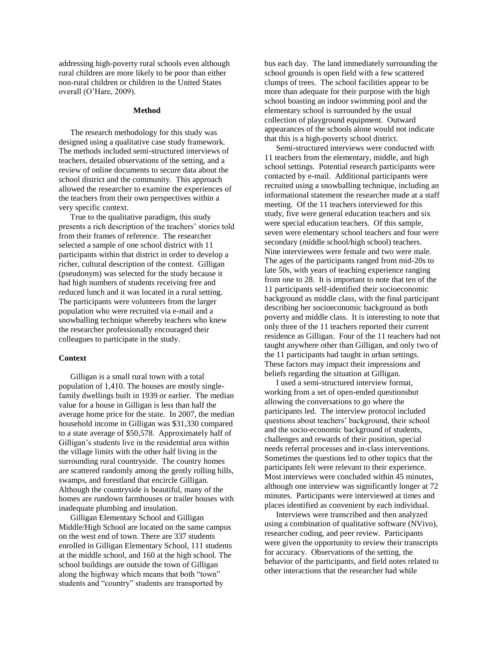addressing high-poverty rural schools even although rural children are more likely to be poor than either non-rural children or children in the United States overall (O'Hare, 2009).

#### **Method**

The research methodology for this study was designed using a qualitative case study framework. The methods included semi-structured interviews of teachers, detailed observations of the setting, and a review of online documents to secure data about the school district and the community. This approach allowed the researcher to examine the experiences of the teachers from their own perspectives within a very specific context.

True to the qualitative paradigm, this study presents a rich description of the teachers' stories told from their frames of reference. The researcher selected a sample of one school district with 11 participants within that district in order to develop a richer, cultural description of the context. Gilligan (pseudonym) was selected for the study because it had high numbers of students receiving free and reduced lunch and it was located in a rural setting. The participants were volunteers from the larger population who were recruited via e-mail and a snowballing technique whereby teachers who knew the researcher professionally encouraged their colleagues to participate in the study.

#### **Context**

Gilligan is a small rural town with a total population of 1,410. The houses are mostly singlefamily dwellings built in 1939 or earlier. The median value for a house in Gilligan is less than half the average home price for the state. In 2007, the median household income in Gilligan was \$31,330 compared to a state average of \$50,578. Approximately half of Gilligan's students live in the residential area within the village limits with the other half living in the surrounding rural countryside. The country homes are scattered randomly among the gently rolling hills, swamps, and forestland that encircle Gilligan. Although the countryside is beautiful, many of the homes are rundown farmhouses or trailer houses with inadequate plumbing and insulation.

Gilligan Elementary School and Gilligan Middle/High School are located on the same campus on the west end of town. There are 337 students enrolled in Gilligan Elementary School, 111 students at the middle school, and 160 at the high school. The school buildings are outside the town of Gilligan along the highway which means that both "town" students and "country" students are transported by

bus each day. The land immediately surrounding the school grounds is open field with a few scattered clumps of trees. The school facilities appear to be more than adequate for their purpose with the high school boasting an indoor swimming pool and the elementary school is surrounded by the usual collection of playground equipment. Outward appearances of the schools alone would not indicate that this is a high-poverty school district.

Semi-structured interviews were conducted with 11 teachers from the elementary, middle, and high school settings. Potential research participants were contacted by e-mail. Additional participants were recruited using a snowballing technique, including an informational statement the researcher made at a staff meeting. Of the 11 teachers interviewed for this study, five were general education teachers and six were special education teachers. Of this sample, seven were elementary school teachers and four were secondary (middle school/high school) teachers. Nine interviewees were female and two were male. The ages of the participants ranged from mid-20s to late 50s, with years of teaching experience ranging from one to 28. It is important to note that ten of the 11 participants self-identified their socioeconomic background as middle class, with the final participant describing her socioeconomic background as both poverty and middle class. It is interesting to note that only three of the 11 teachers reported their current residence as Gilligan. Four of the 11 teachers had not taught anywhere other than Gilligan, and only two of the 11 participants had taught in urban settings. These factors may impact their impressions and beliefs regarding the situation at Gilligan.

I used a semi-structured interview format, working from a set of open-ended questionsbut allowing the conversations to go where the participants led. The interview protocol included questions about teachers' background, their school and the socio-economic background of students, challenges and rewards of their position, special needs referral processes and in-class interventions. Sometimes the questions led to other topics that the participants felt were relevant to their experience. Most interviews were concluded within 45 minutes, although one interview was significantly longer at 72 minutes. Participants were interviewed at times and places identified as convenient by each individual.

Interviews were transcribed and then analyzed using a combination of qualitative software (NVivo), researcher coding, and peer review. Participants were given the opportunity to review their transcripts for accuracy. Observations of the setting, the behavior of the participants, and field notes related to other interactions that the researcher had while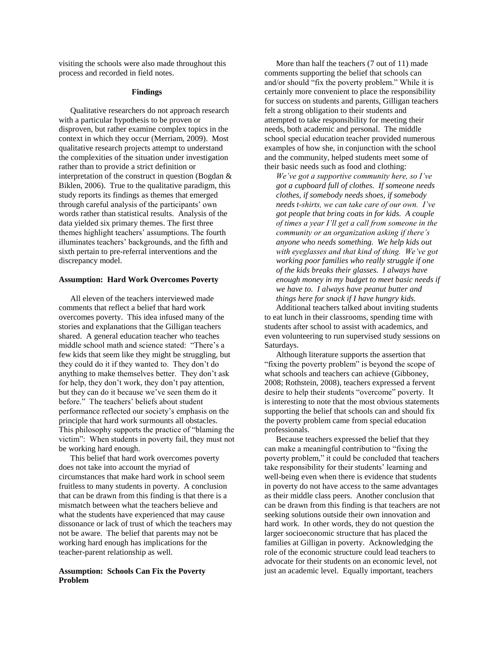visiting the schools were also made throughout this process and recorded in field notes.

#### **Findings**

Qualitative researchers do not approach research with a particular hypothesis to be proven or disproven, but rather examine complex topics in the context in which they occur (Merriam, 2009). Most qualitative research projects attempt to understand the complexities of the situation under investigation rather than to provide a strict definition or interpretation of the construct in question (Bogdan & Biklen, 2006). True to the qualitative paradigm, this study reports its findings as themes that emerged through careful analysis of the participants' own words rather than statistical results. Analysis of the data yielded six primary themes. The first three themes highlight teachers' assumptions. The fourth illuminates teachers' backgrounds, and the fifth and sixth pertain to pre-referral interventions and the discrepancy model.

#### **Assumption: Hard Work Overcomes Poverty**

All eleven of the teachers interviewed made comments that reflect a belief that hard work overcomes poverty. This idea infused many of the stories and explanations that the Gilligan teachers shared. A general education teacher who teaches middle school math and science stated: "There's a few kids that seem like they might be struggling, but they could do it if they wanted to. They don't do anything to make themselves better. They don't ask for help, they don't work, they don't pay attention, but they can do it because we've seen them do it before." The teachers' beliefs about student performance reflected our society's emphasis on the principle that hard work surmounts all obstacles. This philosophy supports the practice of "blaming the victim": When students in poverty fail, they must not be working hard enough.

This belief that hard work overcomes poverty does not take into account the myriad of circumstances that make hard work in school seem fruitless to many students in poverty. A conclusion that can be drawn from this finding is that there is a mismatch between what the teachers believe and what the students have experienced that may cause dissonance or lack of trust of which the teachers may not be aware. The belief that parents may not be working hard enough has implications for the teacher-parent relationship as well.

# **Assumption: Schools Can Fix the Poverty Problem**

More than half the teachers (7 out of 11) made comments supporting the belief that schools can and/or should "fix the poverty problem." While it is certainly more convenient to place the responsibility for success on students and parents, Gilligan teachers felt a strong obligation to their students and attempted to take responsibility for meeting their needs, both academic and personal. The middle school special education teacher provided numerous examples of how she, in conjunction with the school and the community, helped students meet some of their basic needs such as food and clothing:

*We've got a supportive community here, so I've got a cupboard full of clothes. If someone needs clothes, if somebody needs shoes, if somebody needs t-shirts, we can take care of our own. I've got people that bring coats in for kids. A couple of times a year I'll get a call from someone in the community or an organization asking if there's anyone who needs something. We help kids out with eyeglasses and that kind of thing. We've got working poor families who really struggle if one of the kids breaks their glasses. I always have enough money in my budget to meet basic needs if we have to. I always have peanut butter and things here for snack if I have hungry kids.* Additional teachers talked about inviting students

to eat lunch in their classrooms, spending time with students after school to assist with academics, and even volunteering to run supervised study sessions on Saturdays.

Although literature supports the assertion that "fixing the poverty problem" is beyond the scope of what schools and teachers can achieve (Gibboney, 2008; Rothstein, 2008), teachers expressed a fervent desire to help their students "overcome" poverty. It is interesting to note that the most obvious statements supporting the belief that schools can and should fix the poverty problem came from special education professionals.

Because teachers expressed the belief that they can make a meaningful contribution to "fixing the poverty problem," it could be concluded that teachers take responsibility for their students' learning and well-being even when there is evidence that students in poverty do not have access to the same advantages as their middle class peers. Another conclusion that can be drawn from this finding is that teachers are not seeking solutions outside their own innovation and hard work. In other words, they do not question the larger socioeconomic structure that has placed the families at Gilligan in poverty. Acknowledging the role of the economic structure could lead teachers to advocate for their students on an economic level, not just an academic level. Equally important, teachers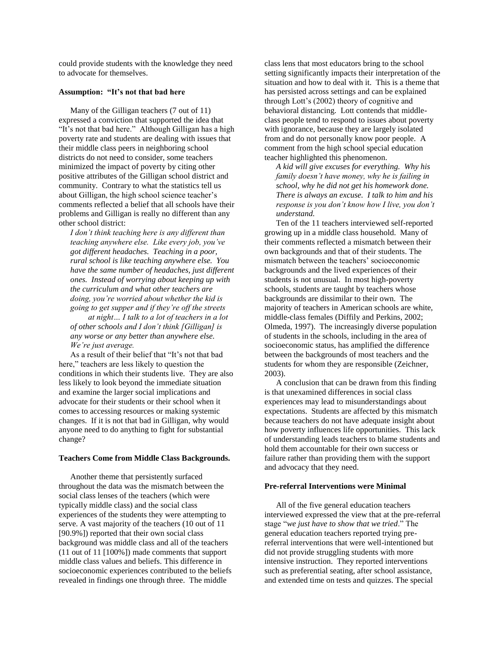could provide students with the knowledge they need to advocate for themselves.

#### **Assumption: "It's not that bad here**

Many of the Gilligan teachers (7 out of 11) expressed a conviction that supported the idea that "It's not that bad here." Although Gilligan has a high poverty rate and students are dealing with issues that their middle class peers in neighboring school districts do not need to consider, some teachers minimized the impact of poverty by citing other positive attributes of the Gilligan school district and community. Contrary to what the statistics tell us about Gilligan, the high school science teacher's comments reflected a belief that all schools have their problems and Gilligan is really no different than any other school district:

*I don't think teaching here is any different than teaching anywhere else. Like every job, you've got different headaches. Teaching in a poor, rural school is like teaching anywhere else. You have the same number of headaches, just different ones. Instead of worrying about keeping up with the curriculum and what other teachers are doing, you're worried about whether the kid is going to get supper and if they're off the streets* 

*at night… I talk to a lot of teachers in a lot of other schools and I don't think [Gilligan] is any worse or any better than anywhere else. We're just average.*

As a result of their belief that "It's not that bad here," teachers are less likely to question the conditions in which their students live. They are also less likely to look beyond the immediate situation and examine the larger social implications and advocate for their students or their school when it comes to accessing resources or making systemic changes. If it is not that bad in Gilligan, why would anyone need to do anything to fight for substantial change?

#### **Teachers Come from Middle Class Backgrounds.**

Another theme that persistently surfaced throughout the data was the mismatch between the social class lenses of the teachers (which were typically middle class) and the social class experiences of the students they were attempting to serve. A vast majority of the teachers (10 out of 11 [90.9%]) reported that their own social class background was middle class and all of the teachers (11 out of 11 [100%]) made comments that support middle class values and beliefs. This difference in socioeconomic experiences contributed to the beliefs revealed in findings one through three. The middle

class lens that most educators bring to the school setting significantly impacts their interpretation of the situation and how to deal with it. This is a theme that has persisted across settings and can be explained through Lott's (2002) theory of cognitive and behavioral distancing. Lott contends that middleclass people tend to respond to issues about poverty with ignorance, because they are largely isolated from and do not personally know poor people. A comment from the high school special education teacher highlighted this phenomenon.

*A kid will give excuses for everything. Why his family doesn't have money, why he is failing in school, why he did not get his homework done. There is always an excuse. I talk to him and his response is you don't know how I live, you don't understand.*

Ten of the 11 teachers interviewed self-reported growing up in a middle class household. Many of their comments reflected a mismatch between their own backgrounds and that of their students. The mismatch between the teachers' socioeconomic backgrounds and the lived experiences of their students is not unusual. In most high-poverty schools, students are taught by teachers whose backgrounds are dissimilar to their own. The majority of teachers in American schools are white, middle-class females (Diffily and Perkins, 2002; Olmeda, 1997). The increasingly diverse population of students in the schools, including in the area of socioeconomic status, has amplified the difference between the backgrounds of most teachers and the students for whom they are responsible (Zeichner, 2003).

A conclusion that can be drawn from this finding is that unexamined differences in social class experiences may lead to misunderstandings about expectations. Students are affected by this mismatch because teachers do not have adequate insight about how poverty influences life opportunities. This lack of understanding leads teachers to blame students and hold them accountable for their own success or failure rather than providing them with the support and advocacy that they need.

## **Pre-referral Interventions were Minimal**

All of the five general education teachers interviewed expressed the view that at the pre-referral stage "*we just have to show that we tried*." The general education teachers reported trying prereferral interventions that were well-intentioned but did not provide struggling students with more intensive instruction. They reported interventions such as preferential seating, after school assistance, and extended time on tests and quizzes. The special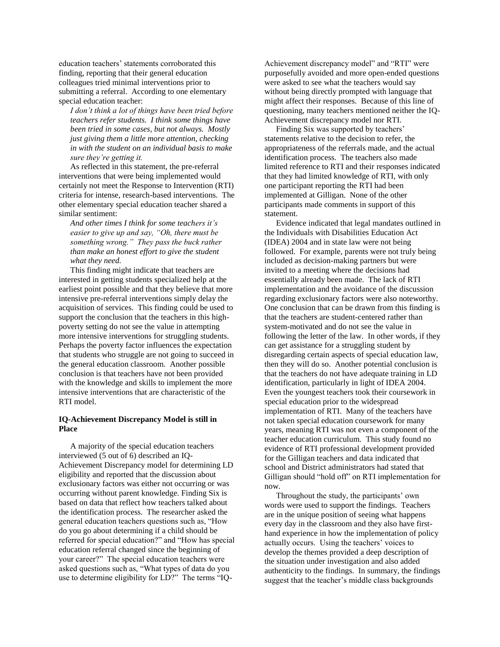education teachers' statements corroborated this finding, reporting that their general education colleagues tried minimal interventions prior to submitting a referral. According to one elementary special education teacher:

*I don't think a lot of things have been tried before teachers refer students. I think some things have been tried in some cases, but not always. Mostly just giving them a little more attention, checking in with the student on an individual basis to make sure they're getting it.*

As reflected in this statement, the pre-referral interventions that were being implemented would certainly not meet the Response to Intervention (RTI) criteria for intense, research-based interventions. The other elementary special education teacher shared a similar sentiment:

*And other times I think for some teachers it's easier to give up and say, "Oh, there must be something wrong." They pass the buck rather than make an honest effort to give the student what they need.*

This finding might indicate that teachers are interested in getting students specialized help at the earliest point possible and that they believe that more intensive pre-referral interventions simply delay the acquisition of services. This finding could be used to support the conclusion that the teachers in this highpoverty setting do not see the value in attempting more intensive interventions for struggling students. Perhaps the poverty factor influences the expectation that students who struggle are not going to succeed in the general education classroom. Another possible conclusion is that teachers have not been provided with the knowledge and skills to implement the more intensive interventions that are characteristic of the RTI model.

## **IQ-Achievement Discrepancy Model is still in Place**

A majority of the special education teachers interviewed (5 out of 6) described an IQ-Achievement Discrepancy model for determining LD eligibility and reported that the discussion about exclusionary factors was either not occurring or was occurring without parent knowledge. Finding Six is based on data that reflect how teachers talked about the identification process. The researcher asked the general education teachers questions such as, "How do you go about determining if a child should be referred for special education?" and "How has special education referral changed since the beginning of your career?" The special education teachers were asked questions such as, "What types of data do you use to determine eligibility for LD?" The terms "IQ-

Achievement discrepancy model" and "RTI" were purposefully avoided and more open-ended questions were asked to see what the teachers would say without being directly prompted with language that might affect their responses. Because of this line of questioning, many teachers mentioned neither the IQ-Achievement discrepancy model nor RTI.

Finding Six was supported by teachers' statements relative to the decision to refer, the appropriateness of the referrals made, and the actual identification process. The teachers also made limited reference to RTI and their responses indicated that they had limited knowledge of RTI, with only one participant reporting the RTI had been implemented at Gilligan. None of the other participants made comments in support of this statement.

Evidence indicated that legal mandates outlined in the Individuals with Disabilities Education Act (IDEA) 2004 and in state law were not being followed. For example, parents were not truly being included as decision-making partners but were invited to a meeting where the decisions had essentially already been made. The lack of RTI implementation and the avoidance of the discussion regarding exclusionary factors were also noteworthy. One conclusion that can be drawn from this finding is that the teachers are student-centered rather than system-motivated and do not see the value in following the letter of the law. In other words, if they can get assistance for a struggling student by disregarding certain aspects of special education law, then they will do so. Another potential conclusion is that the teachers do not have adequate training in LD identification, particularly in light of IDEA 2004. Even the youngest teachers took their coursework in special education prior to the widespread implementation of RTI. Many of the teachers have not taken special education coursework for many years, meaning RTI was not even a component of the teacher education curriculum. This study found no evidence of RTI professional development provided for the Gilligan teachers and data indicated that school and District administrators had stated that Gilligan should "hold off" on RTI implementation for now.

Throughout the study, the participants' own words were used to support the findings. Teachers are in the unique position of seeing what happens every day in the classroom and they also have firsthand experience in how the implementation of policy actually occurs. Using the teachers' voices to develop the themes provided a deep description of the situation under investigation and also added authenticity to the findings. In summary, the findings suggest that the teacher's middle class backgrounds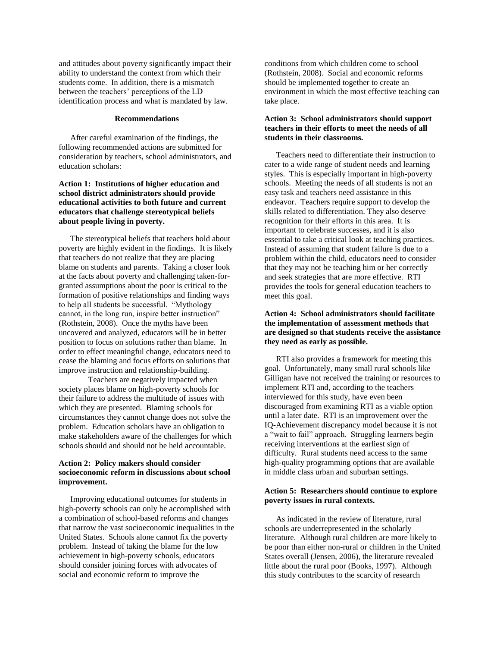and attitudes about poverty significantly impact their ability to understand the context from which their students come. In addition, there is a mismatch between the teachers' perceptions of the LD identification process and what is mandated by law.

#### **Recommendations**

After careful examination of the findings, the following recommended actions are submitted for consideration by teachers, school administrators, and education scholars:

# **Action 1: Institutions of higher education and school district administrators should provide educational activities to both future and current educators that challenge stereotypical beliefs about people living in poverty.**

The stereotypical beliefs that teachers hold about poverty are highly evident in the findings. It is likely that teachers do not realize that they are placing blame on students and parents. Taking a closer look at the facts about poverty and challenging taken-forgranted assumptions about the poor is critical to the formation of positive relationships and finding ways to help all students be successful. "Mythology cannot, in the long run, inspire better instruction" (Rothstein, 2008). Once the myths have been uncovered and analyzed, educators will be in better position to focus on solutions rather than blame. In order to effect meaningful change, educators need to cease the blaming and focus efforts on solutions that improve instruction and relationship-building.

Teachers are negatively impacted when society places blame on high-poverty schools for their failure to address the multitude of issues with which they are presented. Blaming schools for circumstances they cannot change does not solve the problem. Education scholars have an obligation to make stakeholders aware of the challenges for which schools should and should not be held accountable.

# **Action 2: Policy makers should consider socioeconomic reform in discussions about school improvement.**

Improving educational outcomes for students in high-poverty schools can only be accomplished with a combination of school-based reforms and changes that narrow the vast socioeconomic inequalities in the United States. Schools alone cannot fix the poverty problem. Instead of taking the blame for the low achievement in high-poverty schools, educators should consider joining forces with advocates of social and economic reform to improve the

conditions from which children come to school (Rothstein, 2008). Social and economic reforms should be implemented together to create an environment in which the most effective teaching can take place.

# **Action 3: School administrators should support teachers in their efforts to meet the needs of all students in their classrooms.**

Teachers need to differentiate their instruction to cater to a wide range of student needs and learning styles. This is especially important in high-poverty schools. Meeting the needs of all students is not an easy task and teachers need assistance in this endeavor. Teachers require support to develop the skills related to differentiation. They also deserve recognition for their efforts in this area. It is important to celebrate successes, and it is also essential to take a critical look at teaching practices. Instead of assuming that student failure is due to a problem within the child, educators need to consider that they may not be teaching him or her correctly and seek strategies that are more effective. RTI provides the tools for general education teachers to meet this goal.

# **Action 4: School administrators should facilitate the implementation of assessment methods that are designed so that students receive the assistance they need as early as possible.**

RTI also provides a framework for meeting this goal. Unfortunately, many small rural schools like Gilligan have not received the training or resources to implement RTI and, according to the teachers interviewed for this study, have even been discouraged from examining RTI as a viable option until a later date. RTI is an improvement over the IQ-Achievement discrepancy model because it is not a "wait to fail" approach. Struggling learners begin receiving interventions at the earliest sign of difficulty. Rural students need access to the same high-quality programming options that are available in middle class urban and suburban settings.

## **Action 5: Researchers should continue to explore poverty issues in rural contexts.**

As indicated in the review of literature, rural schools are underrepresented in the scholarly literature. Although rural children are more likely to be poor than either non-rural or children in the United States overall (Jensen, 2006), the literature revealed little about the rural poor (Books, 1997). Although this study contributes to the scarcity of research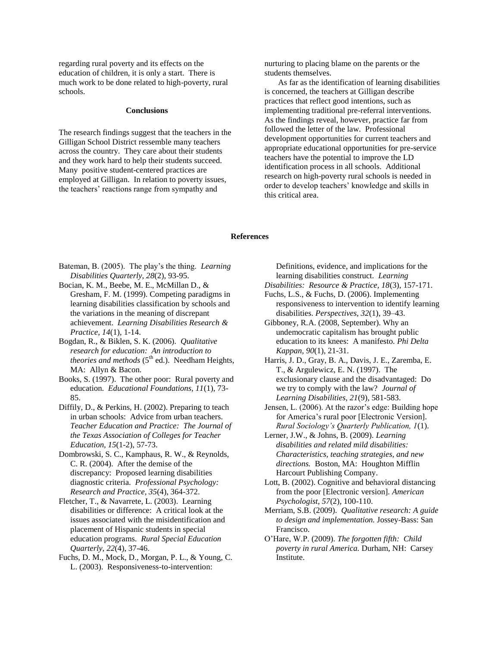regarding rural poverty and its effects on the education of children, it is only a start. There is much work to be done related to high-poverty, rural schools.

#### **Conclusions**

The research findings suggest that the teachers in the Gilligan School District ressemble many teachers across the country. They care about their students and they work hard to help their students succeed. Many positive student-centered practices are employed at Gilligan. In relation to poverty issues, the teachers' reactions range from sympathy and

nurturing to placing blame on the parents or the students themselves.

As far as the identification of learning disabilities is concerned, the teachers at Gilligan describe practices that reflect good intentions, such as implementing traditional pre-referral interventions. As the findings reveal, however, practice far from followed the letter of the law. Professional development opportunities for current teachers and appropriate educational opportunities for pre-service teachers have the potential to improve the LD identification process in all schools. Additional research on high-poverty rural schools is needed in order to develop teachers' knowledge and skills in this critical area.

#### **References**

- Bateman, B. (2005). The play's the thing. *Learning Disabilities Quarterly, 28*(2), 93-95.
- Bocian, K. M., Beebe, M. E., McMillan D., & Gresham, F. M. (1999). Competing paradigms in learning disabilities classification by schools and the variations in the meaning of discrepant achievement. *Learning Disabilities Research & Practice, 14*(1)*,* 1-14.
- Bogdan, R., & Biklen, S. K. (2006). *Qualitative research for education: An introduction to theories and methods* (5<sup>th</sup> ed.). Needham Heights, MA: Allyn & Bacon.
- Books, S. (1997). The other poor: Rural poverty and education. *Educational Foundations, 11*(1), 73- 85.
- Diffily, D., & Perkins, H. (2002). Preparing to teach in urban schools: Advice from urban teachers. *Teacher Education and Practice: The Journal of the Texas Association of Colleges for Teacher Education, 15*(1-2), 57-73.
- Dombrowski, S. C., Kamphaus, R. W., & Reynolds, C. R. (2004). After the demise of the discrepancy: Proposed learning disabilities diagnostic criteria. *Professional Psychology: Research and Practice, 35*(4), 364-372.
- Fletcher, T., & Navarrete, L. (2003). Learning disabilities or difference: A critical look at the issues associated with the misidentification and placement of Hispanic students in special education programs. *Rural Special Education Quarterly, 22*(4), 37-46.
- Fuchs, D. M., Mock, D., Morgan, P. L., & Young, C. L. (2003). Responsiveness-to-intervention:

Definitions, evidence, and implications for the learning disabilities construct. *Learning* 

- *Disabilities: Resource & Practice, 18*(3), 157-171.
- Fuchs, L.S., & Fuchs, D. (2006). Implementing responsiveness to intervention to identify learning disabilities. *Perspectives, 32*(1), 39–43.
- Gibboney, R.A. (2008, September). Why an undemocratic capitalism has brought public education to its knees: A manifesto. *Phi Delta Kappan, 90*(1), 21-31.
- Harris, J. D., Gray, B. A., Davis, J. E., Zaremba, E. T., & Argulewicz, E. N. (1997). The exclusionary clause and the disadvantaged: Do we try to comply with the law? *Journal of Learning Disabilities, 21*(9)*,* 581-583.
- Jensen, L. (2006). At the razor's edge: Building hope for America's rural poor [Electronic Version]. *Rural Sociology's Quarterly Publication, 1*(1).
- Lerner, J.W., & Johns, B. (2009). *Learning disabilities and related mild disabilities: Characteristics, teaching strategies, and new directions.* Boston, MA: Houghton Mifflin Harcourt Publishing Company.
- Lott, B. (2002). Cognitive and behavioral distancing from the poor [Electronic version]. *American Psychologist, 57*(2)*,* 100-110.
- Merriam, S.B. (2009). *Qualitative research: A guide to design and implementation.* Jossey-Bass: San Francisco.
- O'Hare, W.P. (2009). *The forgotten fifth: Child poverty in rural America.* Durham, NH: Carsey Institute.